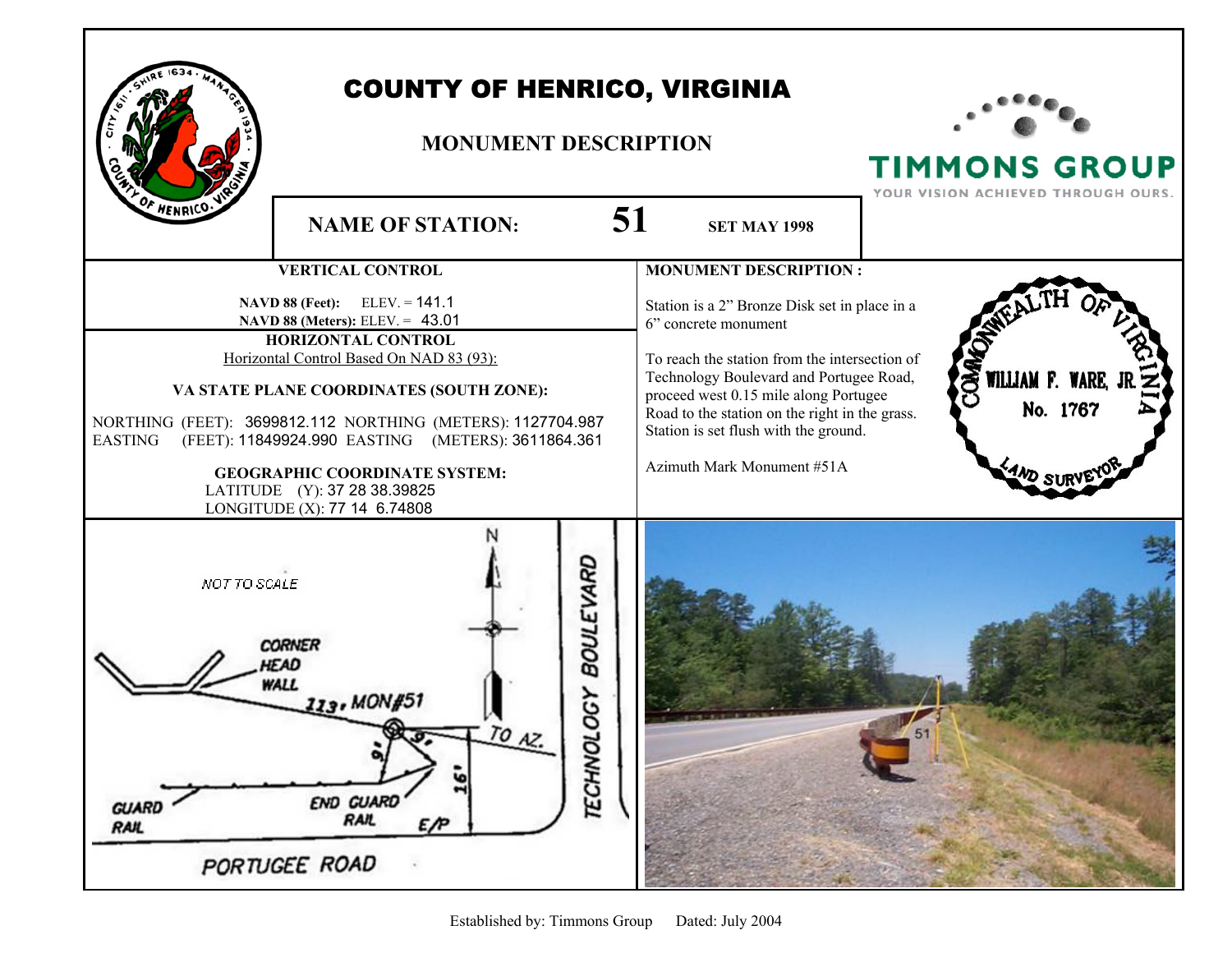